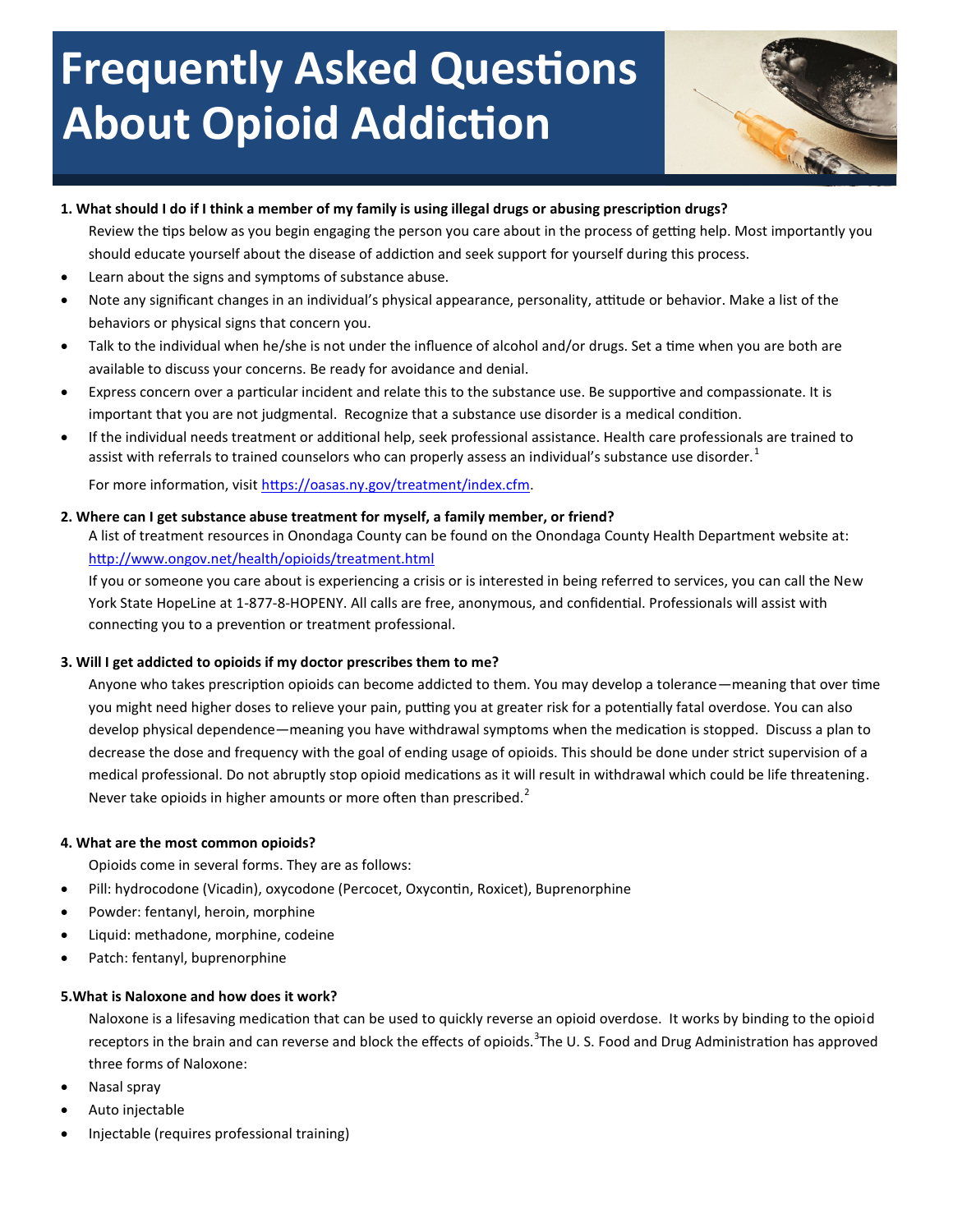# **Frequently Asked Questions About Opioid Addiction**



## **1. What should I do if I think a member of my family is using illegal drugs or abusing prescription drugs?**

Review the tips below as you begin engaging the person you care about in the process of getting help. Most importantly you should educate yourself about the disease of addiction and seek support for yourself during this process.

- Learn about the signs and symptoms of substance abuse.
- Note any significant changes in an individual's physical appearance, personality, attitude or behavior. Make a list of the behaviors or physical signs that concern you.
- Talk to the individual when he/she is not under the influence of alcohol and/or drugs. Set a time when you are both are available to discuss your concerns. Be ready for avoidance and denial.
- Express concern over a particular incident and relate this to the substance use. Be supportive and compassionate. It is important that you are not judgmental. Recognize that a substance use disorder is a medical condition.
- If the individual needs treatment or additional help, seek professional assistance. Health care professionals are trained to assist with referrals to trained counselors who can properly assess an individual's substance use disorder.<sup>1</sup>

For more information, visit [https://oasas.ny.gov/treatment/index.cfm.](https://oasas.ny.gov/treatment/index.cfm)

## **2. Where can I get substance abuse treatment for myself, a family member, or friend?**

A list of treatment resources in Onondaga County can be found on the Onondaga County Health Department website at: http://www.ongov.net/health/opioids/treatment.html

If you or someone you care about is experiencing a crisis or is interested in being referred to services, you can call the New York State HopeLine at 1-877-8-HOPENY. All calls are free, anonymous, and confidential. Professionals will assist with connecting you to a prevention or treatment professional.

## **3. Will I get addicted to opioids if my doctor prescribes them to me?**

Anyone who takes prescription opioids can become addicted to them. You may develop a tolerance—meaning that over time you might need higher doses to relieve your pain, putting you at greater risk for a potentially fatal overdose. You can also develop physical dependence—meaning you have withdrawal symptoms when the medication is stopped. Discuss a plan to decrease the dose and frequency with the goal of ending usage of opioids. This should be done under strict supervision of a medical professional. Do not abruptly stop opioid medications as it will result in withdrawal which could be life threatening. Never take opioids in higher amounts or more often than prescribed. $<sup>2</sup>$ </sup>

## **4. What are the most common opioids?**

Opioids come in several forms. They are as follows:

- Pill: hydrocodone (Vicadin), oxycodone (Percocet, Oxycontin, Roxicet), Buprenorphine
- Powder: fentanyl, heroin, morphine
- Liquid: methadone, morphine, codeine
- Patch: fentanyl, buprenorphine

## **5.What is Naloxone and how does it work?**

Naloxone is a lifesaving medication that can be used to quickly reverse an opioid overdose. It works by binding to the opioid receptors in the brain and can reverse and block the effects of opioids.<sup>3</sup>The U.S. Food and Drug Administration has approved three forms of Naloxone:

- Nasal spray
- Auto injectable
- Injectable (requires professional training)